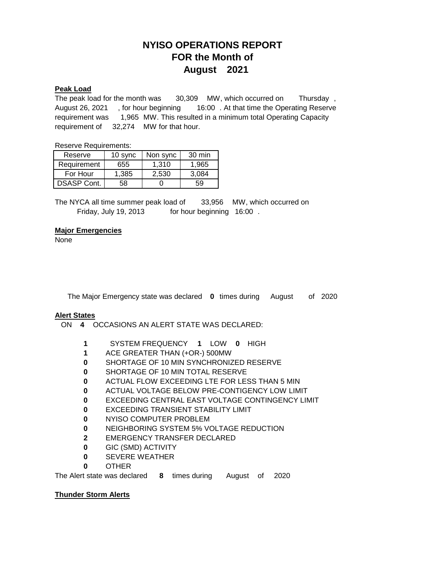# **NYISO OPERATIONS REPORT FOR the Month of August 2021**

#### **Peak Load**

Thursday, requirement was 1,965 MW. This resulted in a minimum total Operating Capacity requirement of 32,274 MW for that hour. The peak load for the month was 30,309 MW, which occurred on August 26, 2021 , for hour beginning 16:00 . At that time the Operating Reserve

Reserve Requirements:

| Reserve            | 10 sync | Non sync | 30 min |
|--------------------|---------|----------|--------|
| Requirement        | 655     | 1.310    | 1.965  |
| For Hour           | 1,385   | 2,530    | 3,084  |
| <b>DSASP Cont.</b> | 58      |          | 59     |

The NYCA all time summer peak load of . Friday, July 19, 2013 for hour beginning 16:00 33,956 MW, which occurred on

#### **Major Emergencies**

None

The Major Emergency state was declared  $\,$  0 times during August of 2020

#### **Alert States**

- **4** ON OCCASIONS AN ALERT STATE WAS DECLARED:
	- **1** SYSTEM FREQUENCY 1 LOW 0 HIGH
	- **1** ACE GREATER THAN (+OR-) 500MW
	- **0** SHORTAGE OF 10 MIN SYNCHRONIZED RESERVE
	- **0** SHORTAGE OF 10 MIN TOTAL RESERVE
	- **0** ACTUAL FLOW EXCEEDING LTE FOR LESS THAN 5 MIN
	- **0** ACTUAL VOLTAGE BELOW PRE-CONTIGENCY LOW LIMIT
	- **0** EXCEEDING CENTRAL EAST VOLTAGE CONTINGENCY LIMIT
	- **0** EXCEEDING TRANSIENT STABILITY LIMIT
	- **0** NYISO COMPUTER PROBLEM
	- **0** NEIGHBORING SYSTEM 5% VOLTAGE REDUCTION
	- **2** EMERGENCY TRANSFER DECLARED
	- **0** GIC (SMD) ACTIVITY
	- **0** SEVERE WEATHER
	- **0** OTHER

The Alert state was declared b 8 times during August of 2020

### **Thunder Storm Alerts**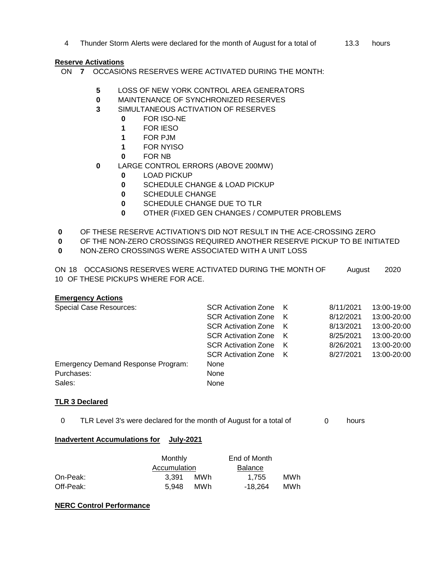4 Thunder Storm Alerts were declared for the month of August for a total of  $\hskip 1cm \hskip 1cm 13.3$  hours

## **Reserve Activations**

- ON **7** OCCASIONS RESERVES WERE ACTIVATED DURING THE MONTH:
	- **5** LOSS OF NEW YORK CONTROL AREA GENERATORS
	- **0** MAINTENANCE OF SYNCHRONIZED RESERVES
	- **3** SIMULTANEOUS ACTIVATION OF RESERVES
		- **0** FOR ISO-NE<br>**1** FOR IESO
		- **1** FOR IESO
		- **1** FOR PJM
		- **1** FOR NYISO
		- **0** FOR NB
	- **0** LARGE CONTROL ERRORS (ABOVE 200MW)
		- **0** LOAD PICKUP
		- **0** SCHEDULE CHANGE & LOAD PICKUP
		- **0** SCHEDULE CHANGE
		- **0** SCHEDULE CHANGE DUE TO TLR
		- **0** OTHER (FIXED GEN CHANGES / COMPUTER PROBLEMS
- **0** OF THESE RESERVE ACTIVATION'S DID NOT RESULT IN THE ACE-CROSSING ZERO
- **0** OF THE NON-ZERO CROSSINGS REQUIRED ANOTHER RESERVE PICKUP TO BE INITIATED
- **0** NON-ZERO CROSSINGS WERE ASSOCIATED WITH A UNIT LOSS

ON 18 OCCASIONS RESERVES WERE ACTIVATED DURING THE MONTH OF August10 OF THESE PICKUPS WHERE FOR ACE. 2020

### **Emergency Actions**

| <b>Special Case Resources:</b>            | <b>SCR Activation Zone</b> K |   | 8/11/2021 | 13:00-19:00 |
|-------------------------------------------|------------------------------|---|-----------|-------------|
|                                           | <b>SCR Activation Zone</b>   | K | 8/12/2021 | 13:00-20:00 |
|                                           | <b>SCR Activation Zone</b>   | K | 8/13/2021 | 13:00-20:00 |
|                                           | <b>SCR Activation Zone</b>   | K | 8/25/2021 | 13:00-20:00 |
|                                           | <b>SCR Activation Zone</b>   | K | 8/26/2021 | 13:00-20:00 |
|                                           | <b>SCR Activation Zone</b>   | K | 8/27/2021 | 13:00-20:00 |
| <b>Emergency Demand Response Program:</b> | None                         |   |           |             |
| Purchases:                                | None                         |   |           |             |
| Sales:                                    | None                         |   |           |             |

### **TLR 3 Declared**

 $0$  TLR Level 3's were declared for the month of August for a total of  $0$  hours

### **Inadvertent Accumulations for July-2021**

|           | Monthly      |      |                |     |
|-----------|--------------|------|----------------|-----|
|           | Accumulation |      | <b>Balance</b> |     |
| On-Peak:  | 3.391        | MW h | 1.755          | MWh |
| Off-Peak: | 5.948        | MW h | -18.264        | MWh |

### **NERC Control Performance**